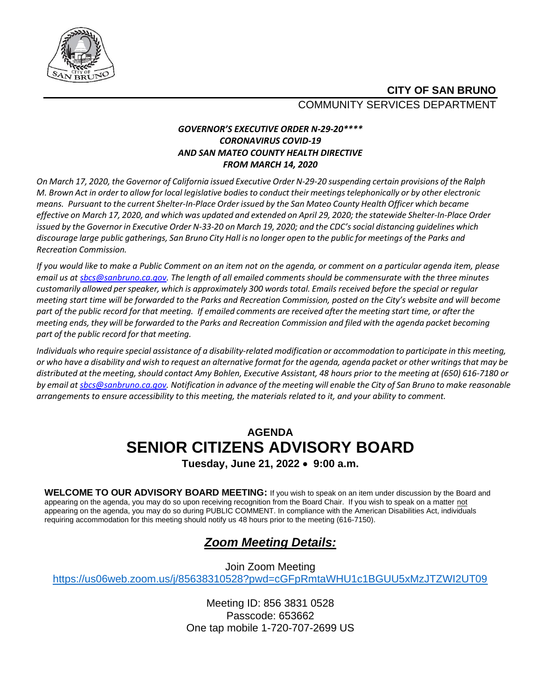

## **CITY OF SAN BRUNO** COMMUNITY SERVICES DEPARTMENT

### *GOVERNOR'S EXECUTIVE ORDER N-29-20\*\*\*\* CORONAVIRUS COVID-19 AND SAN MATEO COUNTY HEALTH DIRECTIVE FROM MARCH 14, 2020*

On March 17, 2020, the Governor of California issued Executive Order N-29-20 suspending certain provisions of the Ralph M. Brown Act in order to allow for local legislative bodies to conduct their meetings telephonically or by other electronic *means. Pursuant to the current Shelter-In-Place Order issued by the San Mateo County Health Officer which became* effective on March 17, 2020, and which was updated and extended on April 29, 2020; the statewide Shelter-In-Place Order issued by the Governor in Executive Order N-33-20 on March 19, 2020; and the CDC's social distancing guidelines which discourage large public gatherings, San Bruno City Hall is no longer open to the public for meetings of the Parks and *Recreation Commission.*

*If you would like to make a Public Comment on an item not on the agenda, or comment on a particular agenda item, please email us a[t sbcs@sanbruno.ca.gov.](mailto:sbcs@sanbruno.ca.gov) The length of all emailed comments should be commensurate with the three minutes customarily allowed perspeaker, which is approximately 300 words total. Emails received before the special or regular meeting start time will be forwarded to the Parks and Recreation Commission, posted on the City's website and will become part of the public record for that meeting. If emailed comments are received after the meeting start time, or after the meeting ends, they will be forwarded to the Parks and Recreation Commission and filed with the agenda packet becoming part of the public record for that meeting.* 

Individuals who require special assistance of a disability-related modification or accommodation to participate in this meeting, or who have a disability and wish to request an alternative format for the agenda, agenda packet or other writings that may be *distributed at the meeting,should contact Amy Bohlen, Executive Assistant, 48 hours prior to the meeting at (650) 616-7180 or* by email a[t sbcs@sanbruno.ca.gov.](mailto:sbcs@sanbruno.ca.gov) Notification in advance of the meeting will enable the City of San Bruno to make reasonable *arrangements to ensure accessibility to this meeting, the materials related to it, and your ability to comment.* 

# **AGENDA SENIOR CITIZENS ADVISORY BOARD**

**Tuesday, June 21, 2022** • **9:00 a.m.** 

**WELCOME TO OUR ADVISORY BOARD MEETING:** If you wish to speak on an item under discussion by the Board and appearing on the agenda, you may do so upon receiving recognition from the Board Chair. If you wish to speak on a matter not appearing on the agenda, you may do so during PUBLIC COMMENT. In compliance with the American Disabilities Act, individuals requiring accommodation for this meeting should notify us 48 hours prior to the meeting (616-7150).

# *Zoom Meeting Details:*

Join Zoom Meeting <https://us06web.zoom.us/j/85638310528?pwd=cGFpRmtaWHU1c1BGUU5xMzJTZWI2UT09>

> Meeting ID: 856 3831 0528 Passcode: 653662 One tap mobile 1-720-707-2699 US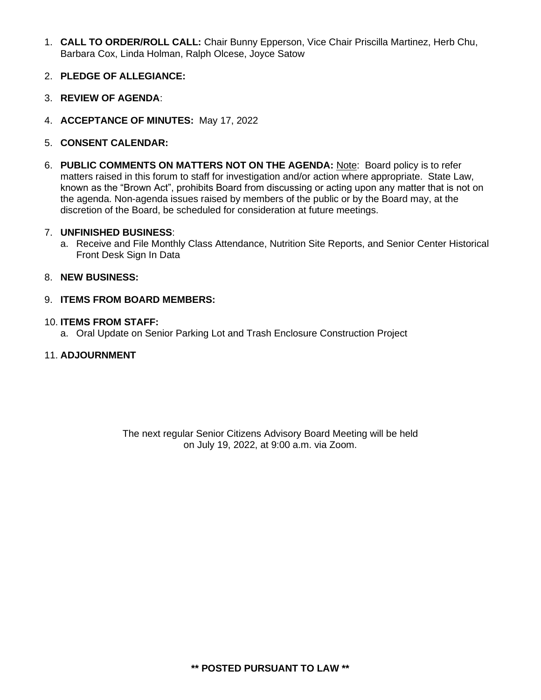- 1. **CALL TO ORDER/ROLL CALL:** Chair Bunny Epperson, Vice Chair Priscilla Martinez, Herb Chu, Barbara Cox, Linda Holman, Ralph Olcese, Joyce Satow
- 2. **PLEDGE OF ALLEGIANCE:**
- 3. **REVIEW OF AGENDA**:
- 4. **ACCEPTANCE OF MINUTES:** May 17, 2022
- 5. **CONSENT CALENDAR:**
- 6. **PUBLIC COMMENTS ON MATTERS NOT ON THE AGENDA:** Note: Board policy is to refer matters raised in this forum to staff for investigation and/or action where appropriate. State Law, known as the "Brown Act", prohibits Board from discussing or acting upon any matter that is not on the agenda. Non-agenda issues raised by members of the public or by the Board may, at the discretion of the Board, be scheduled for consideration at future meetings.

#### 7. **UNFINISHED BUSINESS**:

a. Receive and File Monthly Class Attendance, Nutrition Site Reports, and Senior Center Historical Front Desk Sign In Data

#### 8. **NEW BUSINESS:**

9. **ITEMS FROM BOARD MEMBERS:**

#### 10. **ITEMS FROM STAFF:**

a. Oral Update on Senior Parking Lot and Trash Enclosure Construction Project

#### 11. **ADJOURNMENT**

The next regular Senior Citizens Advisory Board Meeting will be held on July 19, 2022, at 9:00 a.m. via Zoom.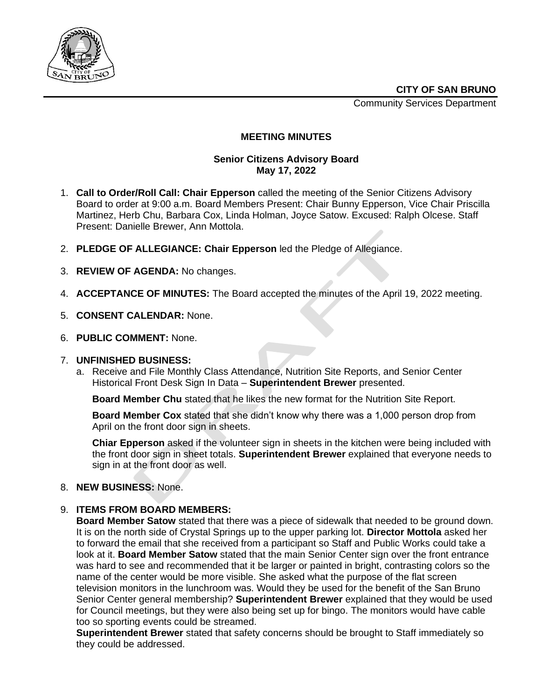Community Services Department



#### **MEETING MINUTES**

#### **Senior Citizens Advisory Board May 17, 2022**

- 1. **Call to Order/Roll Call: Chair Epperson** called the meeting of the Senior Citizens Advisory Board to order at 9:00 a.m. Board Members Present: Chair Bunny Epperson, Vice Chair Priscilla Martinez, Herb Chu, Barbara Cox, Linda Holman, Joyce Satow. Excused: Ralph Olcese. Staff Present: Danielle Brewer, Ann Mottola.
- 2. **PLEDGE OF ALLEGIANCE: Chair Epperson** led the Pledge of Allegiance.
- 3. **REVIEW OF AGENDA:** No changes.
- 4. **ACCEPTANCE OF MINUTES:** The Board accepted the minutes of the April 19, 2022 meeting.
- 5. **CONSENT CALENDAR:** None.
- 6. **PUBLIC COMMENT:** None.

#### 7. **UNFINISHED BUSINESS:**

a. Receive and File Monthly Class Attendance, Nutrition Site Reports, and Senior Center Historical Front Desk Sign In Data – **Superintendent Brewer** presented.

**Board Member Chu** stated that he likes the new format for the Nutrition Site Report.

**Board Member Cox** stated that she didn't know why there was a 1,000 person drop from April on the front door sign in sheets.

**Chiar Epperson** asked if the volunteer sign in sheets in the kitchen were being included with the front door sign in sheet totals. **Superintendent Brewer** explained that everyone needs to sign in at the front door as well.

#### 8. **NEW BUSINESS:** None.

#### 9. **ITEMS FROM BOARD MEMBERS:**

**Board Member Satow** stated that there was a piece of sidewalk that needed to be ground down. It is on the north side of Crystal Springs up to the upper parking lot. **Director Mottola** asked her to forward the email that she received from a participant so Staff and Public Works could take a look at it. **Board Member Satow** stated that the main Senior Center sign over the front entrance was hard to see and recommended that it be larger or painted in bright, contrasting colors so the name of the center would be more visible. She asked what the purpose of the flat screen television monitors in the lunchroom was. Would they be used for the benefit of the San Bruno Senior Center general membership? **Superintendent Brewer** explained that they would be used for Council meetings, but they were also being set up for bingo. The monitors would have cable too so sporting events could be streamed.

**Superintendent Brewer** stated that safety concerns should be brought to Staff immediately so they could be addressed.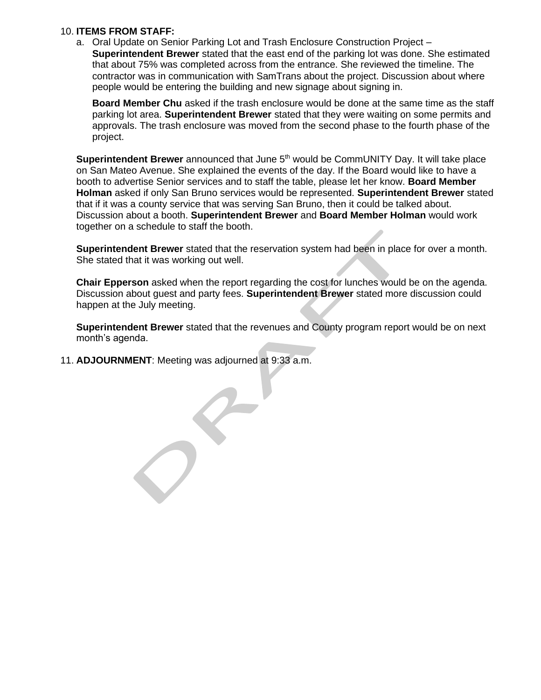#### 10. **ITEMS FROM STAFF:**

a. Oral Update on Senior Parking Lot and Trash Enclosure Construction Project – **Superintendent Brewer** stated that the east end of the parking lot was done. She estimated that about 75% was completed across from the entrance. She reviewed the timeline. The contractor was in communication with SamTrans about the project. Discussion about where people would be entering the building and new signage about signing in.

**Board Member Chu** asked if the trash enclosure would be done at the same time as the staff parking lot area. **Superintendent Brewer** stated that they were waiting on some permits and approvals. The trash enclosure was moved from the second phase to the fourth phase of the project.

**Superintendent Brewer** announced that June 5<sup>th</sup> would be CommUNITY Day. It will take place on San Mateo Avenue. She explained the events of the day. If the Board would like to have a booth to advertise Senior services and to staff the table, please let her know. **Board Member Holman** asked if only San Bruno services would be represented. **Superintendent Brewer** stated that if it was a county service that was serving San Bruno, then it could be talked about. Discussion about a booth. **Superintendent Brewer** and **Board Member Holman** would work together on a schedule to staff the booth.

**Superintendent Brewer** stated that the reservation system had been in place for over a month. She stated that it was working out well.

**Chair Epperson** asked when the report regarding the cost for lunches would be on the agenda. Discussion about guest and party fees. **Superintendent Brewer** stated more discussion could happen at the July meeting.

**Superintendent Brewer** stated that the revenues and County program report would be on next month's agenda.

11. **ADJOURNMENT**: Meeting was adjourned at 9:33 a.m.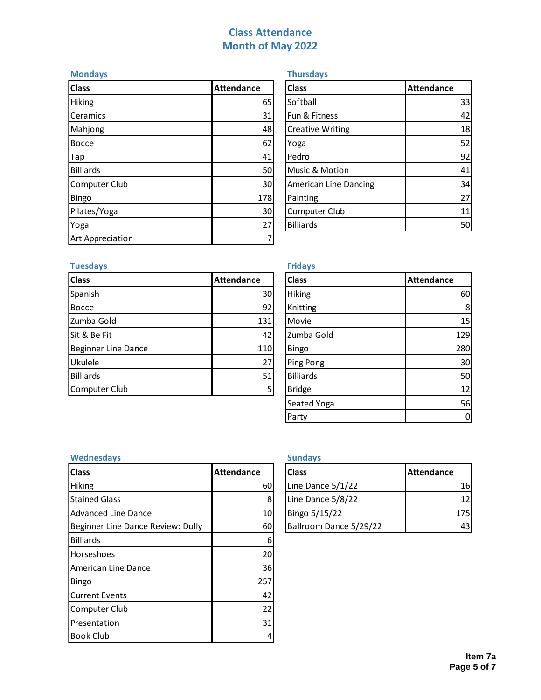# **Class Attendance Month of May 2022**

| <b>Mondays</b>   |                   | <b>Thursdays</b>        |                   |  |  |
|------------------|-------------------|-------------------------|-------------------|--|--|
| <b>Class</b>     | <b>Attendance</b> | <b>Class</b>            | <b>Attendance</b> |  |  |
| Hiking           | 65                | Softball                | 33                |  |  |
| Ceramics         | 31                | Fun & Fitness           | 42                |  |  |
| Mahjong          | 48                | <b>Creative Writing</b> | 18                |  |  |
| <b>Bocce</b>     | 62                | Yoga                    | 52                |  |  |
| Tap              | 41                | Pedro                   | 92                |  |  |
| <b>Billiards</b> | 50                | Music & Motion          | 41                |  |  |
| Computer Club    | 30                | American Line Dancing   | 34                |  |  |
| <b>Bingo</b>     | 178               | Painting                | 27                |  |  |
| Pilates/Yoga     | 30                | Computer Club           | 11                |  |  |
| Yoga             | 27                | <b>Billiards</b>        | 50                |  |  |
| Art Appreciation |                   |                         |                   |  |  |

| <b>Class</b>                 | <b>Attendance</b> |
|------------------------------|-------------------|
| Softball                     | 33                |
| Fun & Fitness                | 42                |
| <b>Creative Writing</b>      | 18                |
| Yoga                         | 52                |
| Pedro                        | 92                |
| Music & Motion               | 41                |
| <b>American Line Dancing</b> | 34                |
| Painting                     | 27                |
| Computer Club                | 11                |
| <b>Billiards</b>             |                   |

## **Tuesdays**

| <b>Class</b>        | Attendance | <b>Class</b>     | <b>Attendance</b> |
|---------------------|------------|------------------|-------------------|
| Spanish             | 30         | <b>Hiking</b>    | 60                |
| Bocce               | 92         | Knitting         | 8                 |
| Zumba Gold          | 131        | Movie            | 15                |
| Sit & Be Fit        | 42         | Zumba Gold       | 129               |
| Beginner Line Dance | <b>110</b> | <b>Bingo</b>     | 280               |
| Ukulele             | 27         | Ping Pong        | 30                |
| Billiards           | 51         | <b>Billiards</b> | 50                |
| Computer Club       | Е          | <b>Bridge</b>    | 12                |

| <b>Fridays</b>   |                   |
|------------------|-------------------|
| <b>Class</b>     | <b>Attendance</b> |
| Hiking           | 60                |
| Knitting         | 8                 |
| Movie            | 15                |
| Zumba Gold       | 129               |
| Bingo            | 280               |
| Ping Pong        | 30                |
| <b>Billiards</b> | 50                |
| <b>Bridge</b>    | 12                |
| Seated Yoga      | 56                |
| Party            |                   |

### **Wednesdays Sundays**

| <b>Class</b>                      | <b>Attendance</b> | <b>Class</b>           | <b>Attendance</b> |  |
|-----------------------------------|-------------------|------------------------|-------------------|--|
| <b>Hiking</b>                     | 60                | Line Dance 5/1/22      | 16                |  |
| <b>Stained Glass</b>              | 8                 | Line Dance 5/8/22      | 12                |  |
| <b>Advanced Line Dance</b>        | 10                | Bingo 5/15/22          | 175               |  |
| Beginner Line Dance Review: Dolly | 60                | Ballroom Dance 5/29/22 | 43                |  |
| <b>Billiards</b>                  | 6                 |                        |                   |  |
| Horseshoes                        | 20                |                        |                   |  |
| American Line Dance               | 36                |                        |                   |  |
| Bingo                             | 257               |                        |                   |  |
| Current Events                    | 42                |                        |                   |  |
| <b>Computer Club</b>              | 22                |                        |                   |  |
| Presentation                      | 31                |                        |                   |  |
| <b>Book Club</b>                  | 4                 |                        |                   |  |

| <b>Class</b>           | <b>Attendance</b> |
|------------------------|-------------------|
| Line Dance 5/1/22      | 16                |
| Line Dance 5/8/22      | 12.               |
| Bingo 5/15/22          | 175               |
| Ballroom Dance 5/29/22 |                   |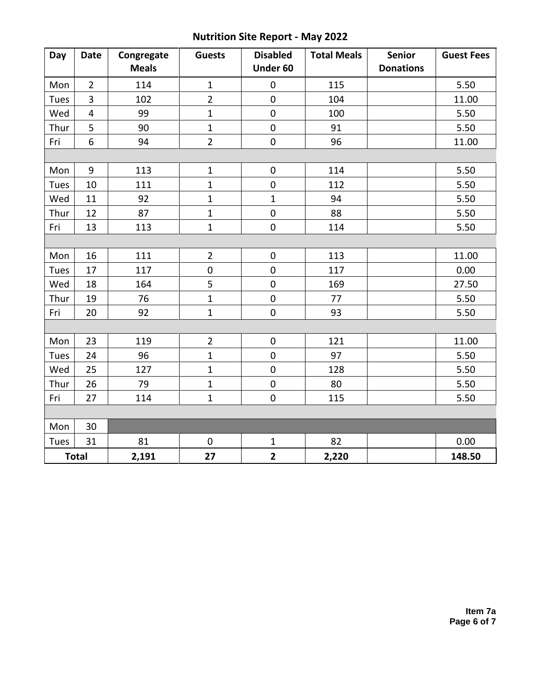# **Nutrition Site Report - May 2022**

| Day  | <b>Date</b>             | Congregate   | <b>Guests</b>  | <b>Disabled</b> | <b>Total Meals</b> | Senior           | <b>Guest Fees</b> |
|------|-------------------------|--------------|----------------|-----------------|--------------------|------------------|-------------------|
|      |                         | <b>Meals</b> |                | Under 60        |                    | <b>Donations</b> |                   |
| Mon  | $\overline{2}$          | 114          | $\mathbf{1}$   | $\mathbf 0$     | 115                |                  | 5.50              |
| Tues | 3                       | 102          | $\overline{2}$ | 0               | 104                |                  | 11.00             |
| Wed  | $\overline{\mathbf{4}}$ | 99           | $\mathbf{1}$   | $\mathbf 0$     | 100                |                  | 5.50              |
| Thur | 5                       | 90           | $\mathbf 1$    | $\pmb{0}$       | 91                 |                  | 5.50              |
| Fri  | $\boldsymbol{6}$        | 94           | $\overline{2}$ | $\pmb{0}$       | 96                 |                  | 11.00             |
|      |                         |              |                |                 |                    |                  |                   |
| Mon  | 9                       | 113          | $\mathbf 1$    | $\pmb{0}$       | 114                |                  | 5.50              |
| Tues | 10                      | 111          | $\mathbf{1}$   | $\pmb{0}$       | 112                |                  | 5.50              |
| Wed  | 11                      | 92           | $\mathbf 1$    | $\mathbf{1}$    | 94                 |                  | 5.50              |
| Thur | 12                      | 87           | $\overline{1}$ | $\mathbf 0$     | 88                 |                  | 5.50              |
| Fri  | 13                      | 113          | $\mathbf{1}$   | $\pmb{0}$       | 114                |                  | 5.50              |
|      |                         |              |                |                 |                    |                  |                   |
| Mon  | 16                      | 111          | $\overline{2}$ | $\pmb{0}$       | 113                |                  | 11.00             |
| Tues | 17                      | 117          | $\mathbf 0$    | $\mathbf 0$     | 117                |                  | 0.00              |
| Wed  | 18                      | 164          | 5              | $\mathbf 0$     | 169                |                  | 27.50             |
| Thur | 19                      | 76           | $\mathbf{1}$   | $\mathbf 0$     | 77                 |                  | 5.50              |
| Fri  | 20                      | 92           | $\mathbf 1$    | $\pmb{0}$       | 93                 |                  | 5.50              |
|      |                         |              |                |                 |                    |                  |                   |
| Mon  | 23                      | 119          | $\overline{2}$ | $\pmb{0}$       | 121                |                  | 11.00             |
| Tues | 24                      | 96           | $\mathbf 1$    | $\pmb{0}$       | 97                 |                  | 5.50              |
| Wed  | 25                      | 127          | $\mathbf{1}$   | $\mathbf 0$     | 128                |                  | 5.50              |
| Thur | 26                      | 79           | $\mathbf{1}$   | $\pmb{0}$       | 80                 |                  | 5.50              |
| Fri  | 27                      | 114          | $\mathbf{1}$   | $\pmb{0}$       | 115                |                  | 5.50              |
|      |                         |              |                |                 |                    |                  |                   |
| Mon  | 30                      |              |                |                 |                    |                  |                   |
| Tues | 31                      | 81           | $\mathbf 0$    | $\mathbf{1}$    | 82                 |                  | 0.00              |
|      | <b>Total</b>            | 2,191        | 27             | $\mathbf{2}$    | 2,220              |                  | 148.50            |